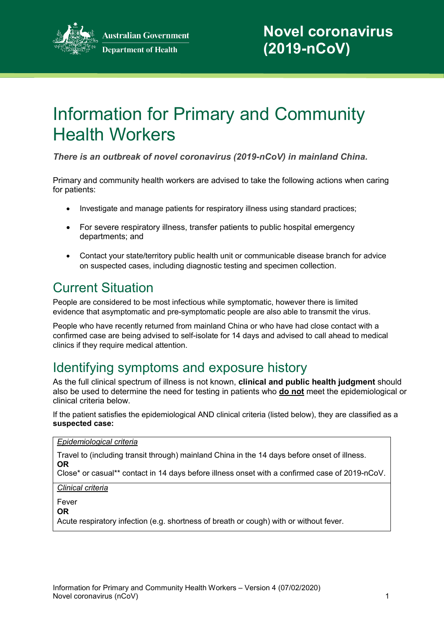

# Information for Primary and Community Health Workers

*There is an outbreak of novel coronavirus (2019-nCoV) in mainland China.*

Primary and community health workers are advised to take the following actions when caring for patients:

- Investigate and manage patients for respiratory illness using standard practices;
- For severe respiratory illness, transfer patients to public hospital emergency departments; and
- Contact your state/territory public health unit or communicable disease branch for advice on suspected cases, including diagnostic testing and specimen collection.

# Current Situation

People are considered to be most infectious while symptomatic, however there is limited evidence that asymptomatic and pre-symptomatic people are also able to transmit the virus.

People who have recently returned from mainland China or who have had close contact with a confirmed case are being advised to self-isolate for 14 days and advised to call ahead to medical clinics if they require medical attention.

### Identifying symptoms and exposure history

As the full clinical spectrum of illness is not known, **clinical and public health judgment** should also be used to determine the need for testing in patients who **do not** meet the epidemiological or clinical criteria below.

If the patient satisfies the epidemiological AND clinical criteria (listed below), they are classified as a **suspected case:**

#### *Epidemiological criteria*

Travel to (including transit through) mainland China in the 14 days before onset of illness. **OR**

Close\* or casual\*\* contact in 14 days before illness onset with a confirmed case of 2019-nCoV.

*Clinical criteria*

Fever

**OR**

Acute respiratory infection (e.g. shortness of breath or cough) with or without fever.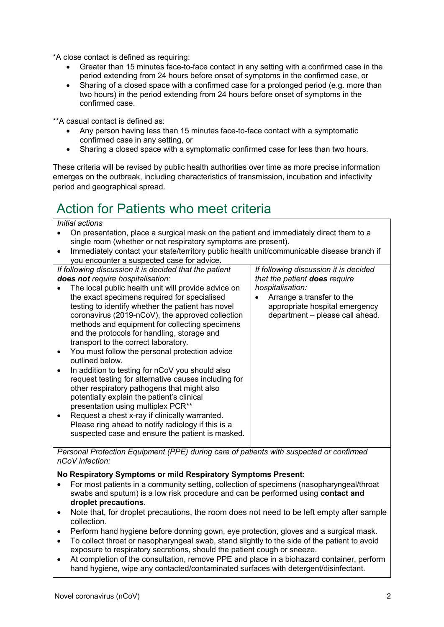\*A close contact is defined as requiring:

- Greater than 15 minutes face-to-face contact in any setting with a confirmed case in the period extending from 24 hours before onset of symptoms in the confirmed case, or
- Sharing of a closed space with a confirmed case for a prolonged period (e.g. more than two hours) in the period extending from 24 hours before onset of symptoms in the confirmed case.

\*\*A casual contact is defined as:

- Any person having less than 15 minutes face-to-face contact with a symptomatic confirmed case in any setting, or
- Sharing a closed space with a symptomatic confirmed case for less than two hours.

These criteria will be revised by public health authorities over time as more precise information emerges on the outbreak, including characteristics of transmission, incubation and infectivity period and geographical spread.

### Action for Patients who meet criteria

#### *Initial actions*

| טווטוסו מטווחו                                                                                                                                           |                                                                                            |                                       |  |
|----------------------------------------------------------------------------------------------------------------------------------------------------------|--------------------------------------------------------------------------------------------|---------------------------------------|--|
| On presentation, place a surgical mask on the patient and immediately direct them to a<br>single room (whether or not respiratory symptoms are present). |                                                                                            |                                       |  |
| $\bullet$                                                                                                                                                | Immediately contact your state/territory public health unit/communicable disease branch if |                                       |  |
|                                                                                                                                                          | you encounter a suspected case for advice.                                                 |                                       |  |
|                                                                                                                                                          | If following discussion it is decided that the patient                                     | If following discussion it is decided |  |
|                                                                                                                                                          | does not require hospitalisation:                                                          | that the patient does require         |  |
|                                                                                                                                                          | The local public health unit will provide advice on                                        | hospitalisation:                      |  |
|                                                                                                                                                          | the exact specimens required for specialised                                               | Arrange a transfer to the             |  |
|                                                                                                                                                          | testing to identify whether the patient has novel                                          | appropriate hospital emergency        |  |
|                                                                                                                                                          | coronavirus (2019-nCoV), the approved collection                                           | department - please call ahead.       |  |
|                                                                                                                                                          | methods and equipment for collecting specimens                                             |                                       |  |
|                                                                                                                                                          | and the protocols for handling, storage and                                                |                                       |  |
|                                                                                                                                                          | transport to the correct laboratory.                                                       |                                       |  |
| $\bullet$                                                                                                                                                | You must follow the personal protection advice                                             |                                       |  |
|                                                                                                                                                          | outlined below.                                                                            |                                       |  |
|                                                                                                                                                          | In addition to testing for nCoV you should also                                            |                                       |  |
|                                                                                                                                                          | request testing for alternative causes including for                                       |                                       |  |
|                                                                                                                                                          | other respiratory pathogens that might also                                                |                                       |  |
|                                                                                                                                                          | potentially explain the patient's clinical                                                 |                                       |  |
|                                                                                                                                                          | presentation using multiplex PCR <sup>**</sup>                                             |                                       |  |
| $\bullet$                                                                                                                                                | Request a chest x-ray if clinically warranted.                                             |                                       |  |
|                                                                                                                                                          | Please ring ahead to notify radiology if this is a                                         |                                       |  |
|                                                                                                                                                          | suspected case and ensure the patient is masked.                                           |                                       |  |
|                                                                                                                                                          |                                                                                            |                                       |  |

*Personal Protection Equipment (PPE) during care of patients with suspected or confirmed nCoV infection:*

#### **No Respiratory Symptoms or mild Respiratory Symptoms Present:**

- For most patients in a community setting, collection of specimens (nasopharyngeal/throat swabs and sputum) is a low risk procedure and can be performed using **contact and droplet precautions**.
- Note that, for droplet precautions, the room does not need to be left empty after sample collection.
- Perform hand hygiene before donning gown, eye protection, gloves and a surgical mask.
- To collect throat or nasopharyngeal swab, stand slightly to the side of the patient to avoid exposure to respiratory secretions, should the patient cough or sneeze.
- At completion of the consultation, remove PPE and place in a biohazard container, perform hand hygiene, wipe any contacted/contaminated surfaces with detergent/disinfectant.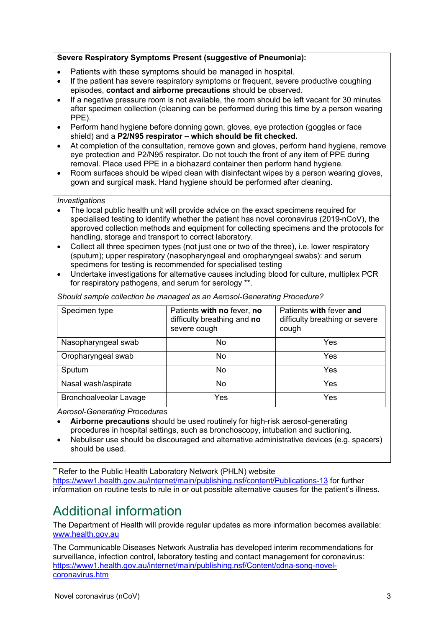#### **Severe Respiratory Symptoms Present (suggestive of Pneumonia):**

- Patients with these symptoms should be managed in hospital.
- If the patient has severe respiratory symptoms or frequent, severe productive coughing episodes, **contact and airborne precautions** should be observed.
- If a negative pressure room is not available, the room should be left vacant for 30 minutes after specimen collection (cleaning can be performed during this time by a person wearing PPE).
- Perform hand hygiene before donning gown, gloves, eye protection (goggles or face shield) and a **P2/N95 respirator – which should be fit checked.**
- At completion of the consultation, remove gown and gloves, perform hand hygiene, remove eye protection and P2/N95 respirator. Do not touch the front of any item of PPE during removal. Place used PPE in a biohazard container then perform hand hygiene.
- Room surfaces should be wiped clean with disinfectant wipes by a person wearing gloves, gown and surgical mask. Hand hygiene should be performed after cleaning.

#### *Investigations*

- The local public health unit will provide advice on the exact specimens required for specialised testing to identify whether the patient has novel coronavirus (2019-nCoV), the approved collection methods and equipment for collecting specimens and the protocols for handling, storage and transport to correct laboratory.
- Collect all three specimen types (not just one or two of the three), i.e. lower respiratory (sputum); upper respiratory (nasopharyngeal and oropharyngeal swabs): and serum specimens for testing is recommended for specialised testing
- Undertake investigations for alternative causes including blood for culture, multiplex PCR for respiratory pathogens, and serum for serology \*\*.

| Specimen type                 | Patients with no fever, no<br>difficulty breathing and no<br>severe cough | Patients with fever and<br>difficulty breathing or severe<br>cough |
|-------------------------------|---------------------------------------------------------------------------|--------------------------------------------------------------------|
| Nasopharyngeal swab           | No.                                                                       | Yes                                                                |
| Oropharyngeal swab            | No                                                                        | Yes                                                                |
| Sputum                        | No                                                                        | Yes                                                                |
| Nasal wash/aspirate           | No                                                                        | Yes                                                                |
| <b>Bronchoalveolar Lavage</b> | Yes                                                                       | Yes                                                                |

*Should sample collection be managed as an Aerosol-Generating Procedure?*

*Aerosol-Generating Procedures*

- **Airborne precautions** should be used routinely for high-risk aerosol-generating procedures in hospital settings, such as bronchoscopy, intubation and suctioning.
- Nebuliser use should be discouraged and alternative administrative devices (e.g. spacers) should be used.

**\*\*** Refer to the Public Health Laboratory Network (PHLN) website <https://www1.health.gov.au/internet/main/publishing.nsf/content/Publications-13> for further information on routine tests to rule in or out possible alternative causes for the patient's illness.

## Additional information

The Department of Health will provide regular updates as more information becomes available: [www.health.gov.au](http://www.health.gov.au/)

The Communicable Diseases Network Australia has developed interim recommendations for surveillance, infection control, laboratory testing and contact management for coronavirus: [https://www1.health.gov.au/internet/main/publishing.nsf/Content/cdna-song-novel](https://www1.health.gov.au/internet/main/publishing.nsf/Content/cdna-song-novel-coronavirus.htm)[coronavirus.htm](https://www1.health.gov.au/internet/main/publishing.nsf/Content/cdna-song-novel-coronavirus.htm)